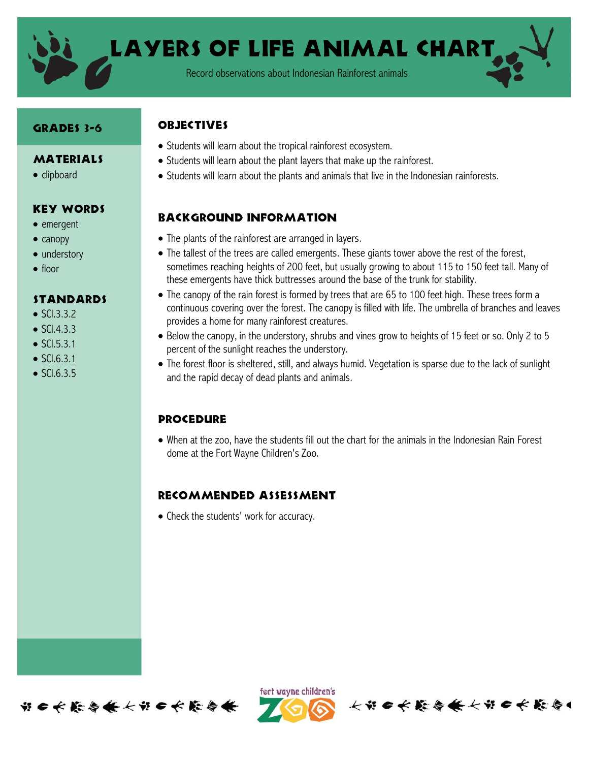

LAYERS OF LIFE ANIMAL CHART

Record observations about Indonesian Rainforest animals

### GRADES 3-6

#### **MATERIALS**

• clipboard

### Key Words

- emergent
- $\bullet$  canopy
- understory
- $\bullet$  floor

#### Standards

- $\bullet$  SCI.3.3.2
- $\bullet$  SCI.4.3.3
- $\bullet$  SCI.5.3.1
- $\bullet$  SCI.6.3.1
- $\bullet$  SCI.6.3.5

## **ORJECTIVES**

- Students will learn about the tropical rainforest ecosystem.
- Students will learn about the plant layers that make up the rainforest.
- Students will learn about the plants and animals that live in the Indonesian rainforests.

# Background information

- The plants of the rainforest are arranged in layers.
- The tallest of the trees are called emergents. These giants tower above the rest of the forest, sometimes reaching heights of 200 feet, but usually growing to about 115 to 150 feet tall. Many of these emergents have thick buttresses around the base of the trunk for stability.
- The canopy of the rain forest is formed by trees that are 65 to 100 feet high. These trees form a continuous covering over the forest. The canopy is filled with life. The umbrella of branches and leaves provides a home for many rainforest creatures.
- Below the canopy, in the understory, shrubs and vines grow to heights of 15 feet or so. Only 2 to 5 percent of the sunlight reaches the understory.
- The forest floor is sheltered, still, and always humid. Vegetation is sparse due to the lack of sunlight and the rapid decay of dead plants and animals.

## **PROCEDURE**

 When at the zoo, have the students fill out the chart for the animals in the Indonesian Rain Forest dome at the Fort Wayne Children's Zoo.

## Recommended assessment

• Check the students' work for accuracy.





长节日长能会长长节日长能会